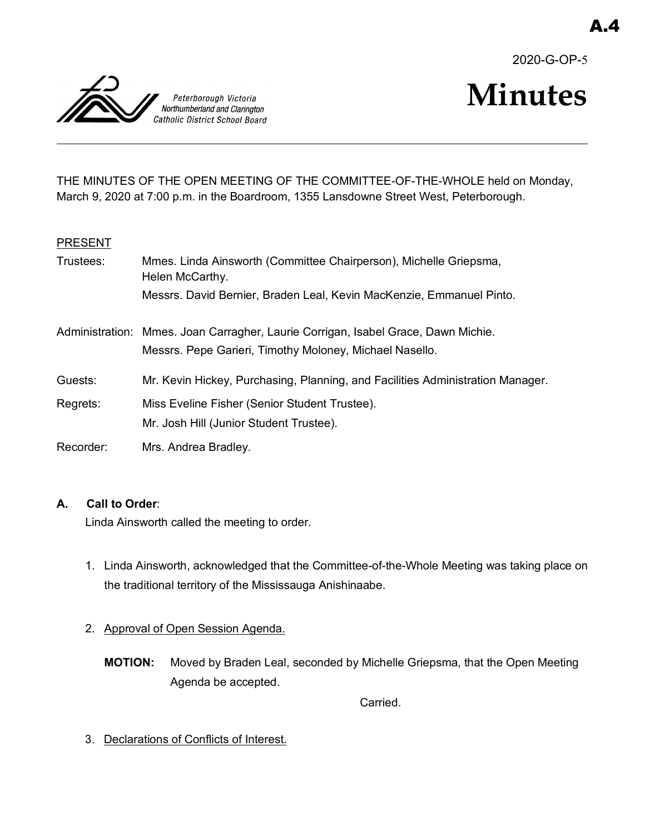2020-G-OP-5



# **Minutes**

THE MINUTES OF THE OPEN MEETING OF THE COMMITTEE-OF-THE-WHOLE held on Monday, March 9, 2020 at 7:00 p.m. in the Boardroom, 1355 Lansdowne Street West, Peterborough.

## **PRESENT**

| Trustees: | Mmes. Linda Ainsworth (Committee Chairperson), Michelle Griepsma,<br>Helen McCarthy.                                                         |
|-----------|----------------------------------------------------------------------------------------------------------------------------------------------|
|           | Messrs. David Bernier, Braden Leal, Kevin MacKenzie, Emmanuel Pinto.                                                                         |
|           | Administration: Mmes. Joan Carragher, Laurie Corrigan, Isabel Grace, Dawn Michie.<br>Messrs. Pepe Garieri, Timothy Moloney, Michael Nasello. |
| Guests:   | Mr. Kevin Hickey, Purchasing, Planning, and Facilities Administration Manager.                                                               |
| Regrets:  | Miss Eveline Fisher (Senior Student Trustee).                                                                                                |
|           | Mr. Josh Hill (Junior Student Trustee).                                                                                                      |
| Recorder: | Mrs. Andrea Bradley.                                                                                                                         |

# **A. Call to Order**:

Linda Ainsworth called the meeting to order.

- 1. Linda Ainsworth, acknowledged that the Committee-of-the-Whole Meeting was taking place on the traditional territory of the Mississauga Anishinaabe.
- 2. Approval of Open Session Agenda.
	- **MOTION:** Moved by Braden Leal, seconded by Michelle Griepsma, that the Open Meeting Agenda be accepted.

Carried.

3. Declarations of Conflicts of Interest.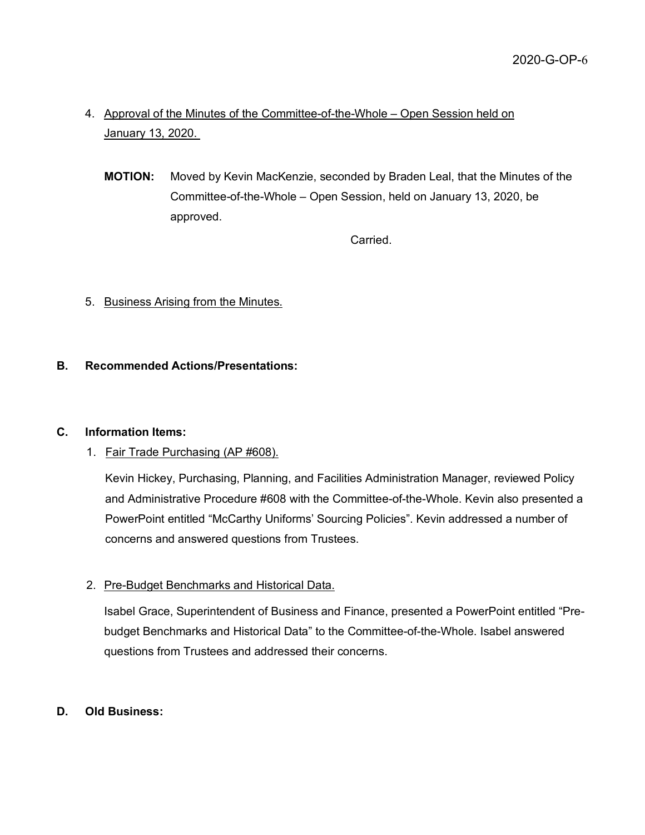- 4. Approval of the Minutes of the Committee-of-the-Whole Open Session held on January 13, 2020.
	- **MOTION:** Moved by Kevin MacKenzie, seconded by Braden Leal, that the Minutes of the Committee-of-the-Whole – Open Session, held on January 13, 2020, be approved.

Carried.

# 5. Business Arising from the Minutes.

## **B. Recommended Actions/Presentations:**

## **C. Information Items:**

## 1. Fair Trade Purchasing (AP #608).

Kevin Hickey, Purchasing, Planning, and Facilities Administration Manager, reviewed Policy and Administrative Procedure #608 with the Committee-of-the-Whole. Kevin also presented a PowerPoint entitled "McCarthy Uniforms' Sourcing Policies". Kevin addressed a number of concerns and answered questions from Trustees.

# 2. Pre-Budget Benchmarks and Historical Data.

Isabel Grace, Superintendent of Business and Finance, presented a PowerPoint entitled "Prebudget Benchmarks and Historical Data" to the Committee-of-the-Whole. Isabel answered questions from Trustees and addressed their concerns.

## **D. Old Business:**